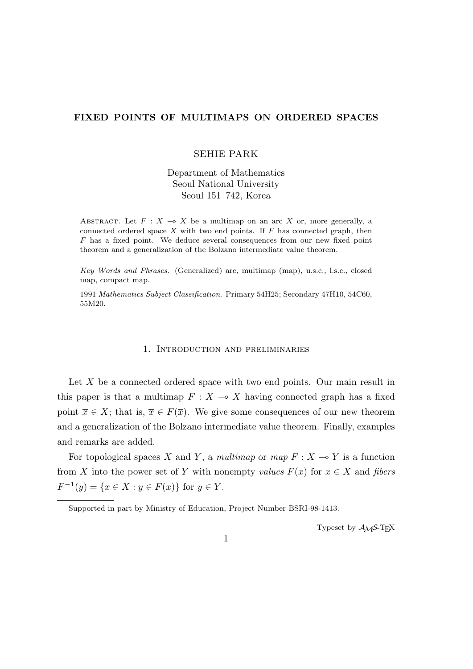# **FIXED POINTS OF MULTIMAPS ON ORDERED SPACES**

# SEHIE PARK

Department of Mathematics Seoul National University Seoul 151–742, Korea

ABSTRACT. Let  $F: X \to X$  be a multimap on an arc X or, more generally, a connected ordered space *X* with two end points. If *F* has connected graph, then *F* has a fixed point. We deduce several consequences from our new fixed point theorem and a generalization of the Bolzano intermediate value theorem.

*Key Words and Phrases*. (Generalized) arc, multimap (map), u.s.c., l.s.c., closed map, compact map.

1991 *Mathematics Subject Classification*. Primary 54H25; Secondary 47H10, 54C60, 55M20.

#### 1. Introduction and preliminaries

Let X be a connected ordered space with two end points. Our main result in this paper is that a multimap  $F: X \to X$  having connected graph has a fixed point  $\overline{x} \in X$ ; that is,  $\overline{x} \in F(\overline{x})$ . We give some consequences of our new theorem and a generalization of the Bolzano intermediate value theorem. Finally, examples and remarks are added.

For topological spaces *X* and *Y*, a *multimap* or *map*  $F: X \to Y$  is a function from *X* into the power set of *Y* with nonempty *values*  $F(x)$  for  $x \in X$  and *fibers*  $F^{-1}(y) = \{x \in X : y \in F(x)\}$  for  $y \in Y$ .

Typeset by  $A_{\mathcal{M}}S$ -T<sub>E</sub>X

## 1

Supported in part by Ministry of Education, Project Number BSRI-98-1413.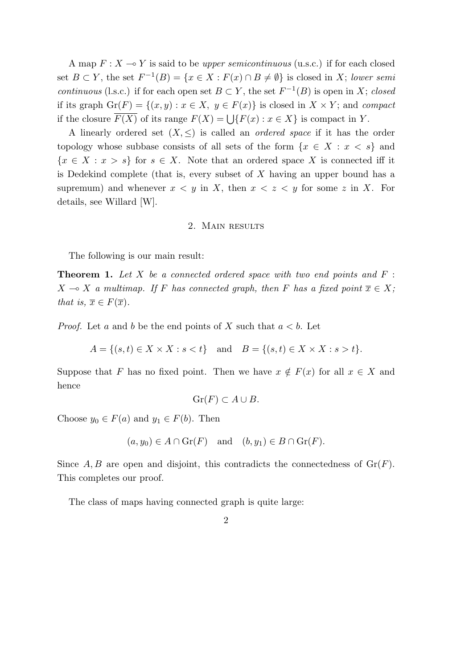A map  $F: X \to Y$  is said to be *upper semicontinuous* (u.s.c.) if for each closed set *B* ⊂ *Y*, the set  $F^{-1}(B) = \{x \in X : F(x) \cap B \neq \emptyset\}$  is closed in *X*; *lower semi continuous* (l.s.c.) if for each open set  $B \subset Y$ , the set  $F^{-1}(B)$  is open in *X*; *closed* if its graph  $\text{Gr}(F) = \{(x, y) : x \in X, y \in F(x)\}\$ is closed in  $X \times Y$ ; and *compact* if the closure  $\overline{F(X)}$  of its range  $F(X) = \bigcup \{F(x) : x \in X\}$  is compact in *Y*.

A linearly ordered set  $(X, \leq)$  is called an *ordered space* if it has the order topology whose subbase consists of all sets of the form  $\{x \in X : x < s\}$  and  ${x \in X : x > s}$  for  $s \in X$ . Note that an ordered space *X* is connected iff it is Dedekind complete (that is, every subset of *X* having an upper bound has a supremum) and whenever  $x < y$  in X, then  $x < z < y$  for some z in X. For details, see Willard [W].

### 2. Main results

The following is our main result:

**Theorem 1.** *Let X be a connected ordered space with two end points and F* :  $X \rightarrow X$  *a multimap.* If *F has connected graph, then F has a fixed point*  $\overline{x} \in X$ ; *that is,*  $\overline{x} \in F(\overline{x})$ *.* 

*Proof.* Let *a* and *b* be the end points of *X* such that *a < b*. Let

$$
A = \{(s, t) \in X \times X : s < t\} \quad \text{and} \quad B = \{(s, t) \in X \times X : s > t\}.
$$

Suppose that *F* has no fixed point. Then we have  $x \notin F(x)$  for all  $x \in X$  and hence

$$
\operatorname{Gr}(F) \subset A \cup B.
$$

Choose  $y_0 \in F(a)$  and  $y_1 \in F(b)$ . Then

$$
(a, y_0) \in A \cap \text{Gr}(F)
$$
 and  $(b, y_1) \in B \cap \text{Gr}(F)$ .

Since  $A, B$  are open and disjoint, this contradicts the connectedness of  $\text{Gr}(F)$ . This completes our proof.

The class of maps having connected graph is quite large:

2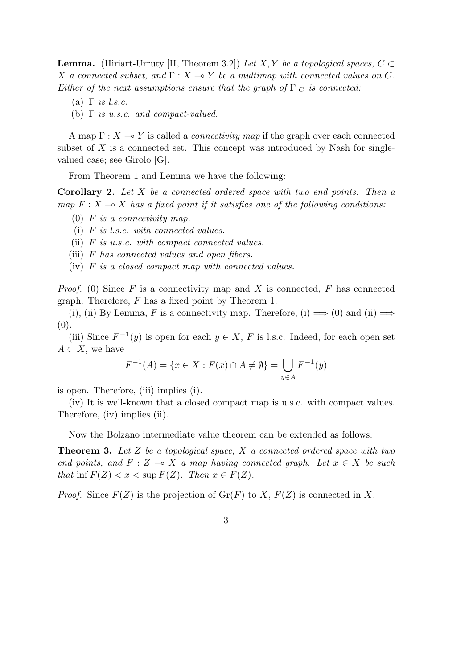**Lemma.** (Hiriart-Urruty [H, Theorem 3.2]) *Let*  $X, Y$  *be a topological spaces,*  $C \subset$ *X a* connected subset, and  $\Gamma: X \to Y$  be a multimap with connected values on C. *Either of the next assumptions ensure that the graph of*  $\Gamma|_C$  *is connected:* 

- (a) Γ *is l.s.c.*
- (b) Γ *is u.s.c. and compact-valued.*

A map  $\Gamma: X \to Y$  is called a *connectivity map* if the graph over each connected subset of X is a connected set. This concept was introduced by Nash for singlevalued case; see Girolo [G].

From Theorem 1 and Lemma we have the following:

**Corollary 2.** *Let X be a connected ordered space with two end points. Then a map*  $F: X \to X$  has a fixed point if it satisfies one of the following conditions:

- (0) *F is a connectivity map.*
- (i) *F is l.s.c. with connected values.*
- (ii) *F is u.s.c. with compact connected values.*
- (iii) *F has connected values and open fibers.*
- (iv) *F is a closed compact map with connected values.*

*Proof.* (0) Since *F* is a connectivity map and *X* is connected, *F* has connected graph. Therefore, *F* has a fixed point by Theorem 1.

(i), (ii) By Lemma, *F* is a connectivity map. Therefore, (i)  $\implies$  (0) and (ii)  $\implies$  $(0).$ 

(iii) Since  $F^{-1}(y)$  is open for each  $y \in X$ , *F* is l.s.c. Indeed, for each open set  $A \subset X$ , we have

$$
F^{-1}(A) = \{ x \in X : F(x) \cap A \neq \emptyset \} = \bigcup_{y \in A} F^{-1}(y)
$$

is open. Therefore, (iii) implies (i).

(iv) It is well-known that a closed compact map is u.s.c. with compact values. Therefore, (iv) implies (ii).

Now the Bolzano intermediate value theorem can be extended as follows:

**Theorem 3.** *Let Z be a topological space, X a connected ordered space with two end points, and*  $F: Z \to X$  *a map having connected graph. Let*  $x \in X$  *be such that* inf  $F(Z) < x < \sup F(Z)$ . Then  $x \in F(Z)$ .

*Proof.* Since  $F(Z)$  is the projection of  $Gr(F)$  to *X*,  $F(Z)$  is connected in *X*.

3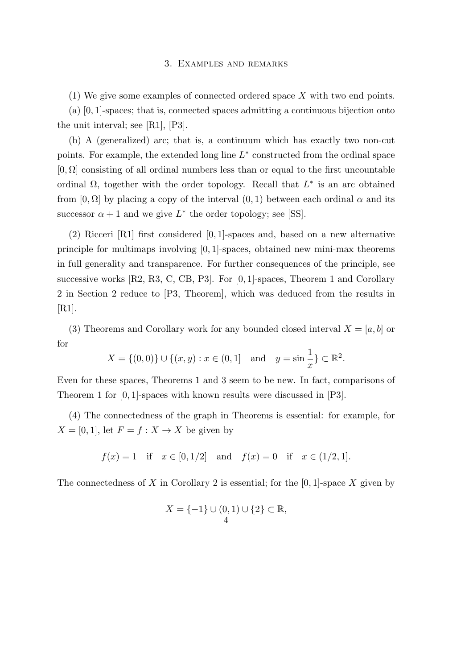#### 3. Examples and remarks

(1) We give some examples of connected ordered space *X* with two end points.

(a) [0*,* 1]-spaces; that is, connected spaces admitting a continuous bijection onto the unit interval; see [R1], [P3].

(b) A (generalized) arc; that is, a continuum which has exactly two non-cut points. For example, the extended long line  $L^*$  constructed from the ordinal space  $[0, \Omega]$  consisting of all ordinal numbers less than or equal to the first uncountable ordinal Ω, together with the order topology. Recall that *L ∗* is an arc obtained from  $[0, \Omega]$  by placing a copy of the interval  $(0, 1)$  between each ordinal  $\alpha$  and its successor  $\alpha + 1$  and we give  $L^*$  the order topology; see [SS].

(2) Ricceri [R1] first considered [0*,* 1]-spaces and, based on a new alternative principle for multimaps involving [0*,* 1]-spaces, obtained new mini-max theorems in full generality and transparence. For further consequences of the principle, see successive works [R2, R3, C, CB, P3]. For [0*,* 1]-spaces, Theorem 1 and Corollary 2 in Section 2 reduce to [P3, Theorem], which was deduced from the results in [R1].

(3) Theorems and Corollary work for any bounded closed interval  $X = [a, b]$  or for

$$
X = \{(0,0)\} \cup \{(x,y) : x \in (0,1] \text{ and } y = \sin \frac{1}{x}\} \subset \mathbb{R}^2.
$$

Even for these spaces, Theorems 1 and 3 seem to be new. In fact, comparisons of Theorem 1 for [0*,* 1]-spaces with known results were discussed in [P3].

(4) The connectedness of the graph in Theorems is essential: for example, for  $X = [0, 1]$ , let  $F = f : X \rightarrow X$  be given by

$$
f(x) = 1
$$
 if  $x \in [0, 1/2]$  and  $f(x) = 0$  if  $x \in (1/2, 1]$ .

The connectedness of *X* in Corollary 2 is essential; for the [0*,* 1]-space *X* given by

$$
X = \{-1\} \cup (0,1) \cup \{2\} \subset \mathbb{R},
$$
  
4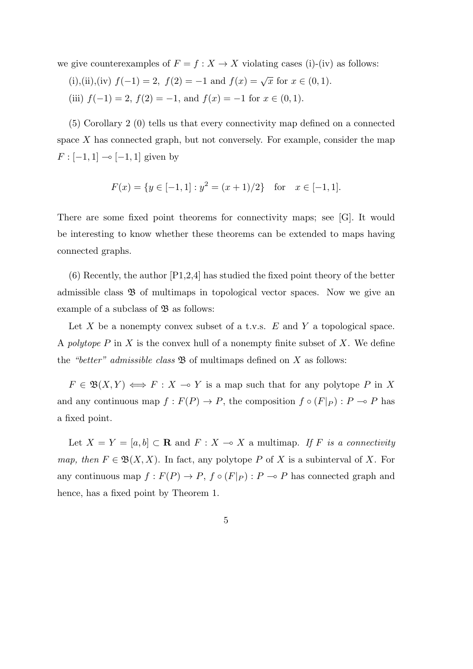we give counterexamples of  $F = f : X \to X$  violating cases (i)-(iv) as follows:

(i), (ii), (iv) 
$$
f(-1) = 2
$$
,  $f(2) = -1$  and  $f(x) = \sqrt{x}$  for  $x \in (0, 1)$ .

(iii)  $f(-1) = 2$ ,  $f(2) = -1$ , and  $f(x) = -1$  for  $x \in (0,1)$ .

(5) Corollary 2 (0) tells us that every connectivity map defined on a connected space *X* has connected graph, but not conversely. For example, consider the map *F* :  $[-1, 1]$  →  $[-1, 1]$  given by

$$
F(x) = \{ y \in [-1, 1] : y^2 = (x + 1)/2 \} \text{ for } x \in [-1, 1].
$$

There are some fixed point theorems for connectivity maps; see [G]. It would be interesting to know whether these theorems can be extended to maps having connected graphs.

(6) Recently, the author [P1,2,4] has studied the fixed point theory of the better admissible class  $\mathfrak{B}$  of multimaps in topological vector spaces. Now we give an example of a subclass of  $\mathfrak{B}$  as follows:

Let *X* be a nonempty convex subset of a t.v.s. *E* and *Y* a topological space. A *polytope P* in *X* is the convex hull of a nonempty finite subset of *X*. We define the *"better" admissible class*  $\mathfrak{B}$  of multimaps defined on *X* as follows:

 $F \in \mathfrak{B}(X,Y) \iff F : X \to Y$  is a map such that for any polytope *P* in X and any continuous map  $f : F(P) \to P$ , the composition  $f \circ (F|_P) : P \to P$  has a fixed point.

Let  $X = Y = [a, b] \subset \mathbf{R}$  and  $F : X \to X$  a multimap. If F is a connectivity *map, then*  $F \in \mathfrak{B}(X,X)$ . In fact, any polytope P of X is a subinterval of X. For any continuous map  $f: F(P) \to P$ ,  $f \circ (F|_P): P \to P$  has connected graph and hence, has a fixed point by Theorem 1.

$$
\overline{5}
$$